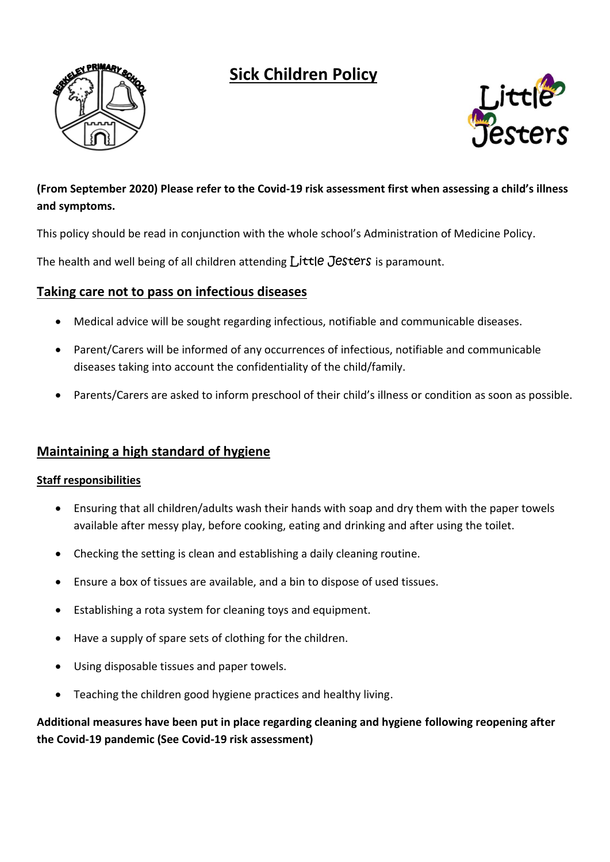# **Sick Children Policy**





## **(From September 2020) Please refer to the Covid-19 risk assessment first when assessing a child's illness and symptoms.**

This policy should be read in conjunction with the whole school's Administration of Medicine Policy.

The health and well being of all children attending Little Jesters is paramount.

## **Taking care not to pass on infectious diseases**

- Medical advice will be sought regarding infectious, notifiable and communicable diseases.
- Parent/Carers will be informed of any occurrences of infectious, notifiable and communicable diseases taking into account the confidentiality of the child/family.
- Parents/Carers are asked to inform preschool of their child's illness or condition as soon as possible.

## **Maintaining a high standard of hygiene**

#### **Staff responsibilities**

- Ensuring that all children/adults wash their hands with soap and dry them with the paper towels available after messy play, before cooking, eating and drinking and after using the toilet.
- Checking the setting is clean and establishing a daily cleaning routine.
- Ensure a box of tissues are available, and a bin to dispose of used tissues.
- Establishing a rota system for cleaning toys and equipment.
- Have a supply of spare sets of clothing for the children.
- Using disposable tissues and paper towels.
- Teaching the children good hygiene practices and healthy living.

## **Additional measures have been put in place regarding cleaning and hygiene following reopening after the Covid-19 pandemic (See Covid-19 risk assessment)**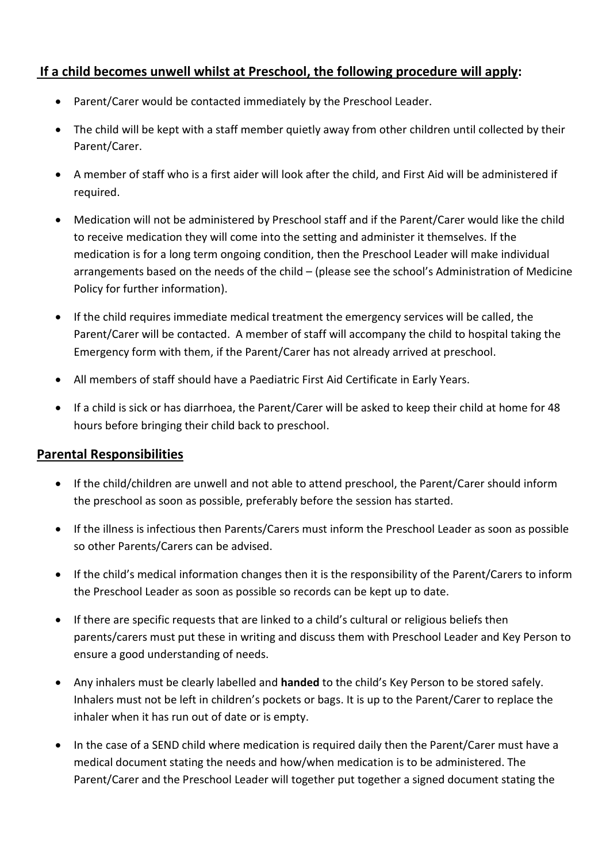## **If a child becomes unwell whilst at Preschool, the following procedure will apply:**

- Parent/Carer would be contacted immediately by the Preschool Leader.
- The child will be kept with a staff member quietly away from other children until collected by their Parent/Carer.
- A member of staff who is a first aider will look after the child, and First Aid will be administered if required.
- Medication will not be administered by Preschool staff and if the Parent/Carer would like the child to receive medication they will come into the setting and administer it themselves. If the medication is for a long term ongoing condition, then the Preschool Leader will make individual arrangements based on the needs of the child – (please see the school's Administration of Medicine Policy for further information).
- If the child requires immediate medical treatment the emergency services will be called, the Parent/Carer will be contacted. A member of staff will accompany the child to hospital taking the Emergency form with them, if the Parent/Carer has not already arrived at preschool.
- All members of staff should have a Paediatric First Aid Certificate in Early Years.
- If a child is sick or has diarrhoea, the Parent/Carer will be asked to keep their child at home for 48 hours before bringing their child back to preschool.

## **Parental Responsibilities**

- If the child/children are unwell and not able to attend preschool, the Parent/Carer should inform the preschool as soon as possible, preferably before the session has started.
- If the illness is infectious then Parents/Carers must inform the Preschool Leader as soon as possible so other Parents/Carers can be advised.
- If the child's medical information changes then it is the responsibility of the Parent/Carers to inform the Preschool Leader as soon as possible so records can be kept up to date.
- If there are specific requests that are linked to a child's cultural or religious beliefs then parents/carers must put these in writing and discuss them with Preschool Leader and Key Person to ensure a good understanding of needs.
- Any inhalers must be clearly labelled and **handed** to the child's Key Person to be stored safely. Inhalers must not be left in children's pockets or bags. It is up to the Parent/Carer to replace the inhaler when it has run out of date or is empty.
- In the case of a SEND child where medication is required daily then the Parent/Carer must have a medical document stating the needs and how/when medication is to be administered. The Parent/Carer and the Preschool Leader will together put together a signed document stating the